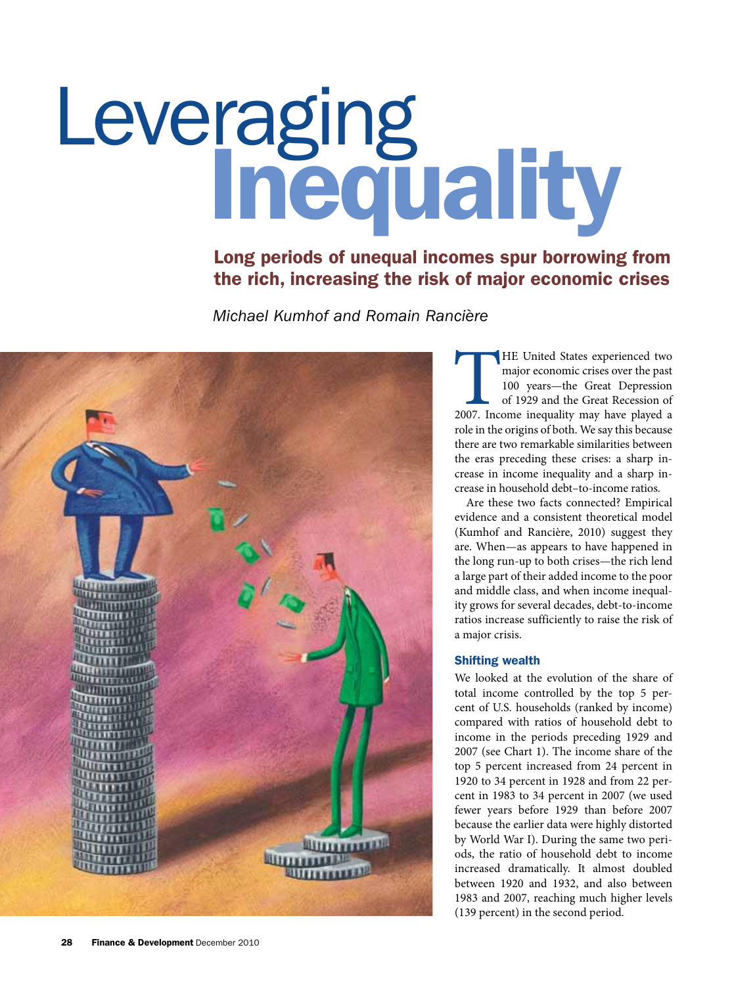# Leveraging Inequality

## Long periods of unequal incomes spur borrowing from the rich, increasing the risk of major economic crises

*Michael Kumhof and Romain Rancière*



The United States experienced two<br>
major economic crises over the past<br>
100 years—the Great Depression<br>
of 1929 and the Great Recession of<br>
2007. Income inequality may have played a major economic crises over the past 100 years—the Great Depression of 1929 and the Great Recession of role in the origins of both. We say this because there are two remarkable similarities between the eras preceding these crises: a sharp increase in income inequality and a sharp increase in household debt–to-income ratios.

Are these two facts connected? Empirical evidence and a consistent theoretical model (Kumhof and Rancière, 2010) suggest they are. When—as appears to have happened in the long run-up to both crises—the rich lend a large part of their added income to the poor and middle class, and when income inequality grows for several decades, debt-to-income ratios increase sufficiently to raise the risk of a major crisis.

#### Shifting wealth

We looked at the evolution of the share of total income controlled by the top 5 percent of U.S. households (ranked by income) compared with ratios of household debt to income in the periods preceding 1929 and 2007 (see Chart 1). The income share of the top 5 percent increased from 24 percent in 1920 to 34 percent in 1928 and from 22 percent in 1983 to 34 percent in 2007 (we used fewer years before 1929 than before 2007 because the earlier data were highly distorted by World War I). During the same two periods, the ratio of household debt to income increased dramatically. It almost doubled between 1920 and 1932, and also between 1983 and 2007, reaching much higher levels (139 percent) in the second period.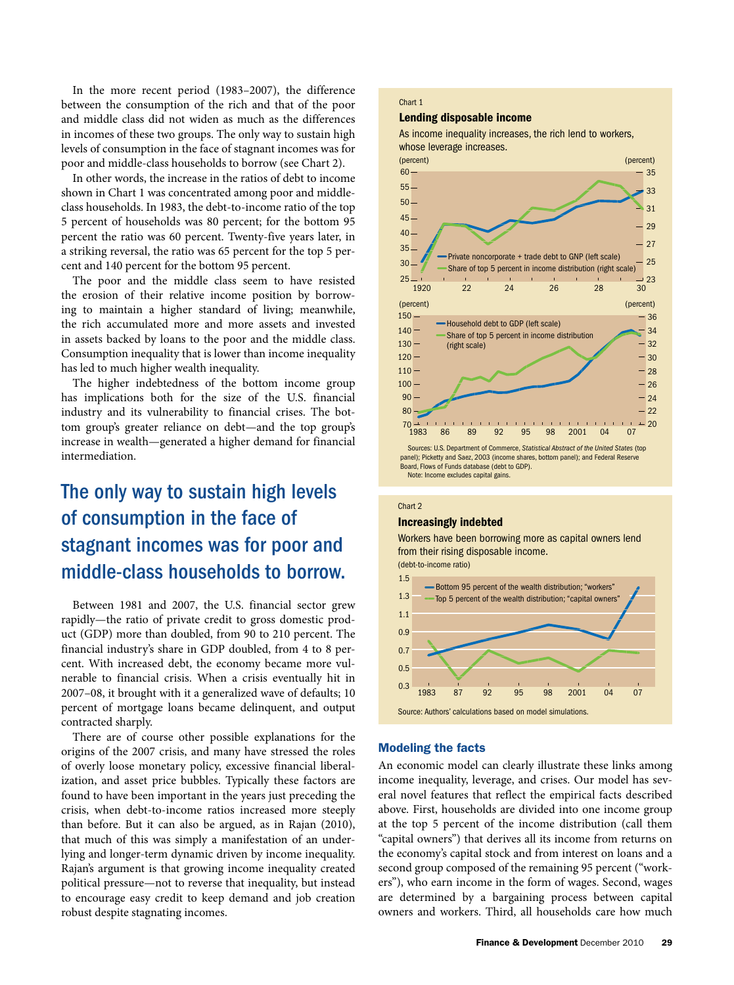In the more recent period (1983–2007), the difference between the consumption of the rich and that of the poor and middle class did not widen as much as the differences in incomes of these two groups. The only way to sustain high levels of consumption in the face of stagnant incomes was for poor and middle-class households to borrow (see Chart 2).

In other words, the increase in the ratios of debt to income shown in Chart 1 was concentrated among poor and middleclass households. In 1983, the debt-to-income ratio of the top 5 percent of households was 80 percent; for the bottom 95 percent the ratio was 60 percent. Twenty-five years later, in a striking reversal, the ratio was 65 percent for the top 5 percent and 140 percent for the bottom 95 percent.

The poor and the middle class seem to have resisted the erosion of their relative income position by borrowing to maintain a higher standard of living; meanwhile, the rich accumulated more and more assets and invested in assets backed by loans to the poor and the middle class. Consumption inequality that is lower than income inequality has led to much higher wealth inequality.

The higher indebtedness of the bottom income group has implications both for the size of the U.S. financial industry and its vulnerability to financial crises. The bottom group's greater reliance on debt—and the top group's increase in wealth—generated a higher demand for financial intermediation.

# The only way to sustain high levels of consumption in the face of stagnant incomes was for poor and middle-class households to borrow.

Between 1981 and 2007, the U.S. financial sector grew rapidly—the ratio of private credit to gross domestic product (GDP) more than doubled, from 90 to 210 percent. The financial industry's share in GDP doubled, from 4 to 8 percent. With increased debt, the economy became more vulnerable to financial crisis. When a crisis eventually hit in 2007–08, it brought with it a generalized wave of defaults; 10 percent of mortgage loans became delinquent, and output contracted sharply.

There are of course other possible explanations for the origins of the 2007 crisis, and many have stressed the roles of overly loose monetary policy, excessive financial liberalization, and asset price bubbles. Typically these factors are found to have been important in the years just preceding the crisis, when debt-to-income ratios increased more steeply than before. But it can also be argued, as in Rajan (2010), that much of this was simply a manifestation of an underlying and longer-term dynamic driven by income inequality. Rajan's argument is that growing income inequality created political pressure—not to reverse that inequality, but instead to encourage easy credit to keep demand and job creation robust despite stagnating incomes.

#### Chart 1

#### Lending disposable income

As income inequality increases, the rich lend to workers,



#### Chart 2 Increasingly indebted

Workers have been borrowing more as capital owners lend from their rising disposable income.

(debt-to-income ratio)



#### Modeling the facts

An economic model can clearly illustrate these links among income inequality, leverage, and crises. Our model has several novel features that reflect the empirical facts described above. First, households are divided into one income group at the top 5 percent of the income distribution (call them "capital owners") that derives all its income from returns on the economy's capital stock and from interest on loans and a second group composed of the remaining 95 percent ("workers"), who earn income in the form of wages. Second, wages are determined by a bargaining process between capital owners and workers. Third, all households care how much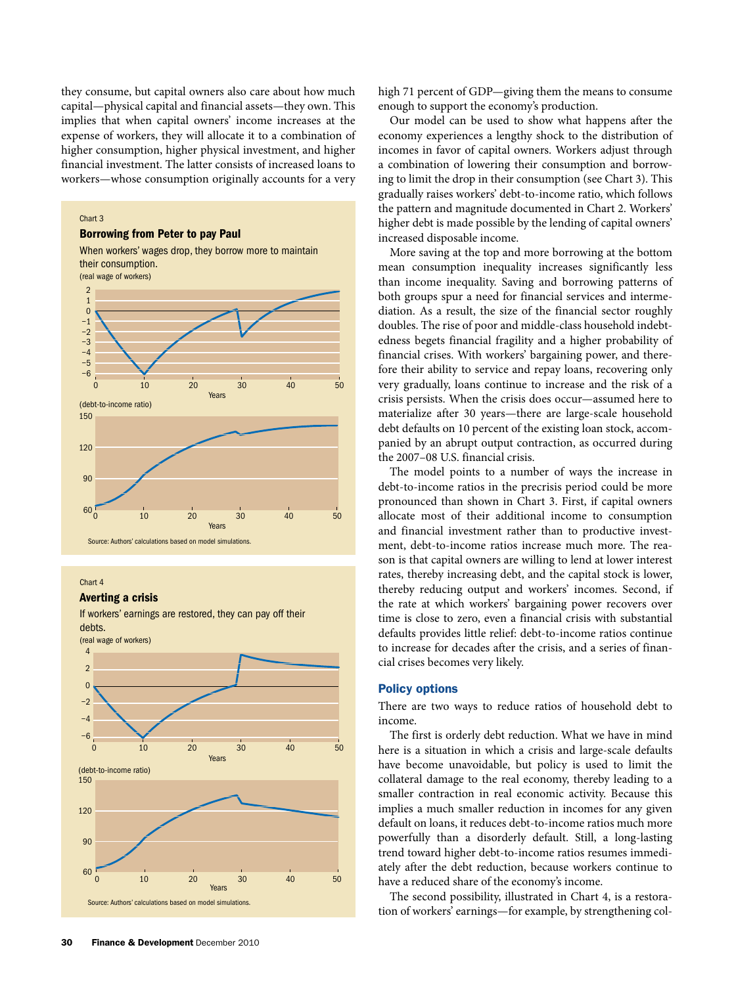they consume, but capital owners also care about how much capital—physical capital and financial assets—they own. This implies that when capital owners' income increases at the expense of workers, they will allocate it to a combination of higher consumption, higher physical investment, and higher financial investment. The latter consists of increased loans to workers—whose consumption originally accounts for a very

#### Chart 3

#### Borrowing from Peter to pay Paul



#### Chart 4

#### Averting a crisis

If workers' earnings are restored, they can pay off their debts.

(real wage of workers)



high 71 percent of GDP—giving them the means to consume enough to support the economy's production.

Our model can be used to show what happens after the economy experiences a lengthy shock to the distribution of incomes in favor of capital owners. Workers adjust through a combination of lowering their consumption and borrowing to limit the drop in their consumption (see Chart 3). This gradually raises workers' debt-to-income ratio, which follows the pattern and magnitude documented in Chart 2. Workers' higher debt is made possible by the lending of capital owners' increased disposable income.

More saving at the top and more borrowing at the bottom mean consumption inequality increases significantly less than income inequality. Saving and borrowing patterns of both groups spur a need for financial services and intermediation. As a result, the size of the financial sector roughly doubles. The rise of poor and middle-class household indebtedness begets financial fragility and a higher probability of financial crises. With workers' bargaining power, and therefore their ability to service and repay loans, recovering only very gradually, loans continue to increase and the risk of a crisis persists. When the crisis does occur—assumed here to materialize after 30 years—there are large-scale household debt defaults on 10 percent of the existing loan stock, accompanied by an abrupt output contraction, as occurred during the 2007–08 U.S. financial crisis.

The model points to a number of ways the increase in debt-to-income ratios in the precrisis period could be more pronounced than shown in Chart 3. First, if capital owners allocate most of their additional income to consumption and financial investment rather than to productive investment, debt-to-income ratios increase much more. The reason is that capital owners are willing to lend at lower interest rates, thereby increasing debt, and the capital stock is lower, thereby reducing output and workers' incomes. Second, if the rate at which workers' bargaining power recovers over time is close to zero, even a financial crisis with substantial defaults provides little relief: debt-to-income ratios continue to increase for decades after the crisis, and a series of financial crises becomes very likely.

#### Policy options

There are two ways to reduce ratios of household debt to income.

The first is orderly debt reduction. What we have in mind here is a situation in which a crisis and large-scale defaults have become unavoidable, but policy is used to limit the collateral damage to the real economy, thereby leading to a smaller contraction in real economic activity. Because this implies a much smaller reduction in incomes for any given default on loans, it reduces debt-to-income ratios much more powerfully than a disorderly default. Still, a long-lasting trend toward higher debt-to-income ratios resumes immediately after the debt reduction, because workers continue to have a reduced share of the economy's income.

The second possibility, illustrated in Chart 4, is a restoration of workers' earnings—for example, by strengthening col